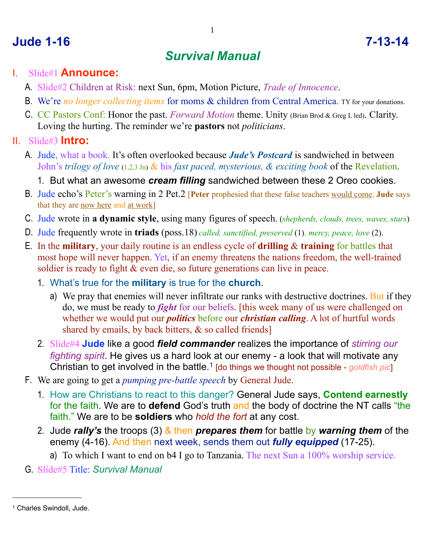### **Jude 1-16 7-13-14**

# *Survival Manual*

#### I. Slide#1 **Announce:**

- A. Slide#2 Children at Risk: next Sun, 6pm, Motion Picture, *Trade of Innocence*.
- B. We're *no longer collecting items* for moms & children from Central America. TY for your donations.
- C. CC Pastors Conf: Honor the past. *Forward Motion* theme. Unity (Brian Brod & Greg L led). Clarity. Loving the hurting. The reminder we're **pastors** not *politicians*.

#### II. Slide#3 **Intro:**

- A. Jude, what a book. It's often overlooked because *Jude's Postcard* is sandwiched in between John's *trilogy of love* (1,2,3 Jn) & his *fast paced, mysterious, & exciting book* of the Revelation.
	- 1. But what an awesome *cream filling* sandwiched between these 2 Oreo cookies.
- B. Jude echo's Peter's warning in 2 Pet.2 [**Peter** prophesied that these false teachers would come; **Jude** says that they are now here and at work]
- C. Jude wrote in **a dynamic style**, using many figures of speech. (*shepherds, clouds, trees, waves, stars*)
- D. Jude frequently wrote in **triads** (poss.18) *called, sanctified, preserved* (1)*. mercy, peace, love* (2).
- E. In the **military**, your daily routine is an endless cycle of **drilling** & **training** for battles that most hope will never happen. Yet, if an enemy threatens the nations freedom, the well-trained soldier is ready to fight  $\&$  even die, so future generations can live in peace.
	- 1. What's true for the **military** is true for the **church**.
		- a) We pray that enemies will never infiltrate our ranks with destructive doctrines. But if they do, we must be ready to *fight* for our beliefs. [this week many of us were challenged on whether we would put our *politics* before our *christian calling*. A lot of hurtful words shared by emails, by back bitters, & so called friends]
	- 2. Slide#4 **Jude** like a good *field commander* realizes the importance of *stirring our fighting spirit*. He gives us a hard look at our enemy - a look that will motivate any Christian to get involved in the battle.<sup>[1](#page-0-0)</sup> [do things we thought not possible - *goldfish pic*]
- F. We are going to get a *pumping pre-battle speech* by General Jude.
	- 1. How are Christians to react to this danger? General Jude says, **Contend earnestly** for the faith. We are to **defend** God's truth and the body of doctrine the NT calls "the faith." We are to be **soldiers** who *hold the fort* at any cost.
	- 2. Jude *rally's* the troops (3) & then *prepares them* for battle by *warning them* of the enemy (4-16). And then next week, sends them out *fully equipped* (17-25).
		- a) To which I want to end on b4 I go to Tanzania. The next Sun a 100% worship service.
- G. Slide#5 Title: *Survival Manual*

<span id="page-0-0"></span><sup>1</sup> Charles Swindoll, Jude.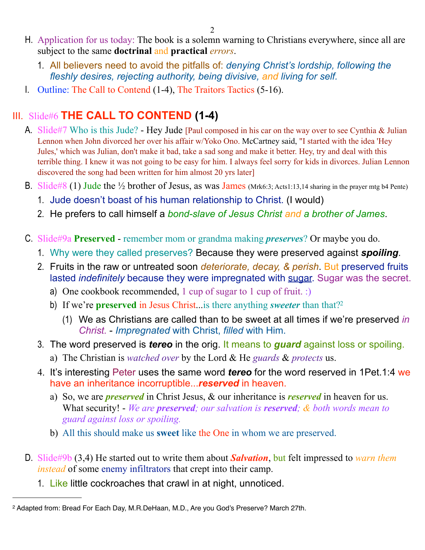- H. Application for us today: The book is a solemn warning to Christians everywhere, since all are subject to the same **doctrinal** and **practical** *errors*.
	- 1. All believers need to avoid the pitfalls of: *denying Christ's lordship, following the fleshly desires, rejecting authority, being divisive, and living for self.*
- I. Outline: The Call to Contend (1-4), The Traitors Tactics (5-16).

# III. Slide#6 **THE CALL TO CONTEND (1-4)**

- A. Slide#7 Who is this Jude? Hey Jude [Paul composed in his car on the way over to see Cynthia & Julian Lennon when John divorced her over his affair w/Yoko Ono. McCartney said, "I started with the idea 'Hey Jules,' which was Julian, don't make it bad, take a sad song and make it better. Hey, try and deal with this terrible thing. I knew it was not going to be easy for him. I always feel sorry for kids in divorces. Julian Lennon discovered the song had been written for him almost 20 yrs later]
- B. Slide#8 (1) Jude the  $\frac{1}{2}$  brother of Jesus, as was James (Mrk6:3; Acts1:13,14 sharing in the prayer mtg b4 Pente)
	- 1. Jude doesn't boast of his human relationship to Christ. (I would)
	- 2. He prefers to call himself a *bond-slave of Jesus Christ and a brother of James*.
- C. Slide#9a **Preserved** remember mom or grandma making *preserves*? Or maybe you do.
	- 1. Why were they called preserves? Because they were preserved against *spoiling*.
	- 2. Fruits in the raw or untreated soon *deteriorate, decay, & perish*. But preserved fruits lasted *indefinitely* because they were impregnated with sugar. Sugar was the secret.
		- a) One cookbook recommended, 1 cup of sugar to 1 cup of fruit. :)
		- b) If we're **preserved** in Jesus Christ...is there anything *sweeter* than that[?2](#page-1-0)
			- (1) We as Christians are called than to be sweet at all times if we're preserved *in Christ.* - *Impregnated* with Christ, *filled* with Him.
	- 3. The word preserved is *tereo* in the orig. It means to *guard* against loss or spoiling.
		- a) The Christian is *watched over* by the Lord & He *guards* & *protects* us.
	- 4. It's interesting Peter uses the same word *tereo* for the word reserved in 1Pet.1:4 we have an inheritance incorruptible...*reserved* in heaven.
		- a) So, we are *preserved* in Christ Jesus, & our inheritance is *reserved* in heaven for us. What security! - *We are preserved; our salvation is reserved; & both words mean to guard against loss or spoiling.*
		- b) All this should make us **sweet** like the One in whom we are preserved.
- D. Slide#9b (3,4) He started out to write them about *Salvation*, but felt impressed to *warn them instead* of some enemy infiltrators that crept into their camp.
	- 1. Like little cockroaches that crawl in at night, unnoticed.

<span id="page-1-0"></span><sup>2</sup> Adapted from: Bread For Each Day, M.R.DeHaan, M.D., Are you God's Preserve? March 27th.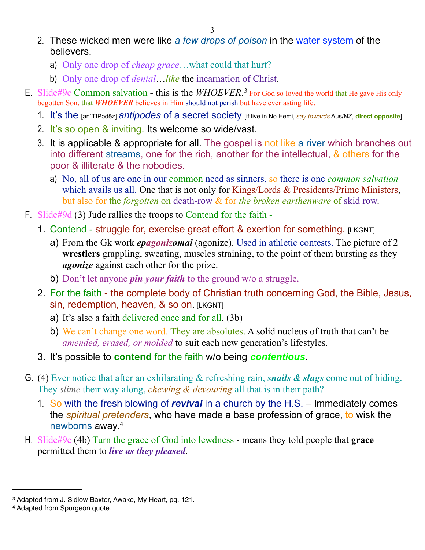- 2. These wicked men were like *a few drops of poison* in the water system of the believers.
	- a) Only one drop of *cheap grace*…what could that hurt?
	- b) Only one drop of *denial*…*like* the incarnation of Christ.
- E. Slide#9c Common salvation this is the *WHOEVER*.<sup>[3](#page-2-0)</sup> For God so loved the world that He gave His only begotten Son, that *WHOEVER* believes in Him should not perish but have everlasting life.
	- 1. It's the [anˈTIPədēz] *antipodes* of a secret society [if live in No.Hemi, *say towards* Aus/NZ, **direct opposite**]
	- 2. It's so open & inviting. Its welcome so wide/vast.
	- 3. It is applicable & appropriate for all. The gospel is not like a river which branches out into different streams, one for the rich, another for the intellectual, & others for the poor & illiterate & the nobodies.
		- a) No, all of us are one in our common need as sinners, so there is one *common salvation*  which avails us all. One that is not only for Kings/Lords & Presidents/Prime Ministers, but also for the *forgotten* on death-row & for *the broken earthenware* of skid row.
- F. Slide#9d (3) Jude rallies the troops to Contend for the faith
	- 1. Contend struggle for, exercise great effort & exertion for something. [LKGNT]
		- a) From the Gk work *epagonizomai* (agonize). Used in athletic contests. The picture of 2 **wrestlers** grappling, sweating, muscles straining, to the point of them bursting as they *agonize* against each other for the prize.
		- b) Don't let anyone *pin your faith* to the ground w/o a struggle.
	- 2. For the faith the complete body of Christian truth concerning God, the Bible, Jesus, sin, redemption, heaven, & so on. [LKGNT]
		- a) It's also a faith delivered once and for all. (3b)
		- b) We can't change one word. They are absolutes. A solid nucleus of truth that can't be *amended, erased, or molded* to suit each new generation's lifestyles.
	- 3. It's possible to **contend** for the faith w/o being *contentious*.
- G. (4) Ever notice that after an exhilarating & refreshing rain, *snails & slugs* come out of hiding. They *slime* their way along, *chewing & devouring* all that is in their path?
	- 1. So with the fresh blowing of *revival* in a church by the H.S. Immediately comes the *spiritual pretenders*, who have made a base profession of grace, to wisk the newborns away. [4](#page-2-1)
- H. Slide#9e (4b) Turn the grace of God into lewdness means they told people that **grace** permitted them to *live as they pleased*.

<span id="page-2-0"></span><sup>3</sup> Adapted from J. Sidlow Baxter, Awake, My Heart, pg. 121.

<span id="page-2-1"></span><sup>4</sup> Adapted from Spurgeon quote.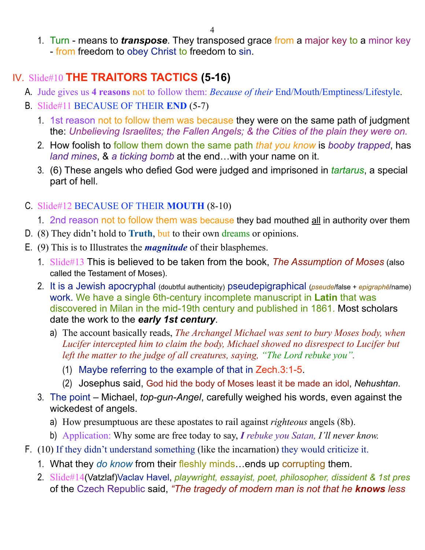1. Turn - means to *transpose*. They transposed grace from a major key to a minor key - from freedom to obey Christ to freedom to sin.

# IV. Slide#10 **THE TRAITORS TACTICS (5-16)**

- A. Jude gives us **4 reasons** not to follow them: *Because of their* End/Mouth/Emptiness/Lifestyle.
- B. Slide#11 BECAUSE OF THEIR **END** (5-7)
	- 1. 1st reason not to follow them was because they were on the same path of judgment the: *Unbelieving Israelites; the Fallen Angels; & the Cities of the plain they were on.*
	- 2. How foolish to follow them down the same path *that you know* is *booby trapped*, has *land mines*, & *a ticking bomb* at the end…with your name on it.
	- 3. (6) These angels who defied God were judged and imprisoned in *tartarus*, a special part of hell.

#### C. Slide#12 BECAUSE OF THEIR **MOUTH** (8-10)

- 1. 2nd reason not to follow them was because they bad mouthed all in authority over them
- D. (8) They didn't hold to **Truth**, but to their own dreams or opinions.
- E. (9) This is to Illustrates the *magnitude* of their blasphemes.
	- 1. Slide#13 This is believed to be taken from the book, *The Assumption of Moses* (also called the Testament of Moses).
	- 2. It is a Jewish apocryphal (doubtful authenticity) pseudepigraphical (*pseude*/false + *epigraphē*/name) work. We have a single 6th-century incomplete manuscript in **Latin** that was discovered in Milan in the mid-19th century and published in 1861. Most scholars date the work to the *early 1st century*.
		- a) The account basically reads, *The Archangel Michael was sent to bury Moses body, when Lucifer intercepted him to claim the body, Michael showed no disrespect to Lucifer but left the matter to the judge of all creatures, saying, "The Lord rebuke you".* 
			- (1) Maybe referring to the example of that in Zech.3:1-5.
			- (2) Josephus said, God hid the body of Moses least it be made an idol, *Nehushtan*.
	- 3. The point Michael, *top-gun-Angel*, carefully weighed his words, even against the wickedest of angels.
		- a) How presumptuous are these apostates to rail against *righteous* angels (8b).
		- b) Application: Why some are free today to say, *I rebuke you Satan, I'll never know.*
- F. (10) If they didn't understand something (like the incarnation) they would criticize it.
	- 1. What they *do know* from their fleshly minds…ends up corrupting them.
	- 2. Slide#14(Vatzlaf)Vaclav Havel, *playwright, essayist, poet, philosopher, dissident & 1st pres* of the Czech Republic said, *"The tragedy of modern man is not that he knows less*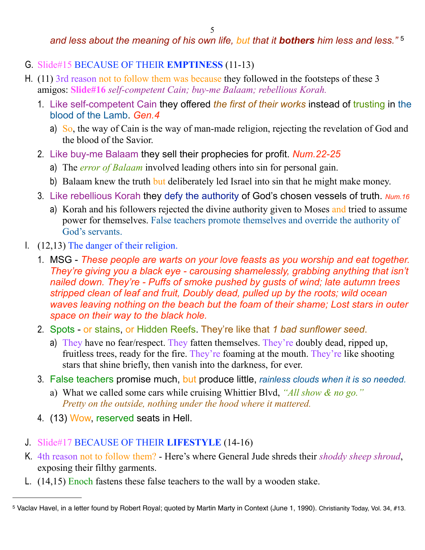#### *and less about the meaning of his own life, but that it bothers him less and less."* [5](#page-4-0)

- G. Slide#15 BECAUSE OF THEIR **EMPTINESS** (11-13)
- H. (11) 3rd reason not to follow them was because they followed in the footsteps of these 3 amigos: **Slide#16** *self-competent Cain; buy-me Balaam; rebellious Korah.*
	- 1. Like self-competent Cain they offered *the first of their works* instead of trusting in the blood of the Lamb. *Gen.4*
		- a) So, the way of Cain is the way of man-made religion, rejecting the revelation of God and the blood of the Savior.
	- 2. Like buy-me Balaam they sell their prophecies for profit. *Num.22-25*
		- a) The *error of Balaam* involved leading others into sin for personal gain.
		- b) Balaam knew the truth but deliberately led Israel into sin that he might make money.
	- 3. Like rebellious Korah they defy the authority of God's chosen vessels of truth. *Num.16*
		- a) Korah and his followers rejected the divine authority given to Moses and tried to assume power for themselves. False teachers promote themselves and override the authority of God's servants.
- I. (12,13) The danger of their religion.
	- 1. MSG *These people are warts on your love feasts as you worship and eat together. They're giving you a black eye - carousing shamelessly, grabbing anything that isn't nailed down. They're - Puffs of smoke pushed by gusts of wind; late autumn trees stripped clean of leaf and fruit, Doubly dead, pulled up by the roots; wild ocean waves leaving nothing on the beach but the foam of their shame; Lost stars in outer space on their way to the black hole.*
	- 2. Spots or stains, or Hidden Reefs. They're like that *1 bad sunflower seed*.
		- a) They have no fear/respect. They fatten themselves. They're doubly dead, ripped up, fruitless trees, ready for the fire. They're foaming at the mouth. They're like shooting stars that shine briefly, then vanish into the darkness, for ever.
	- 3. False teachers promise much, but produce little, *rainless clouds when it is so needed.*
		- a) What we called some cars while cruising Whittier Blvd, *"All show & no go." Pretty on the outside, nothing under the hood where it mattered.*
	- 4. (13) Wow, reserved seats in Hell.
- J. Slide#17 BECAUSE OF THEIR **LIFESTYLE** (14-16)
- K. 4th reason not to follow them? Here's where General Jude shreds their *shoddy sheep shroud*, exposing their filthy garments.
- L. (14,15) Enoch fastens these false teachers to the wall by a wooden stake.

<span id="page-4-0"></span><sup>5</sup> Vaclav Havel, in a letter found by Robert Royal; quoted by Martin Marty in Context (June 1, 1990). Christianity Today, Vol. 34, #13.